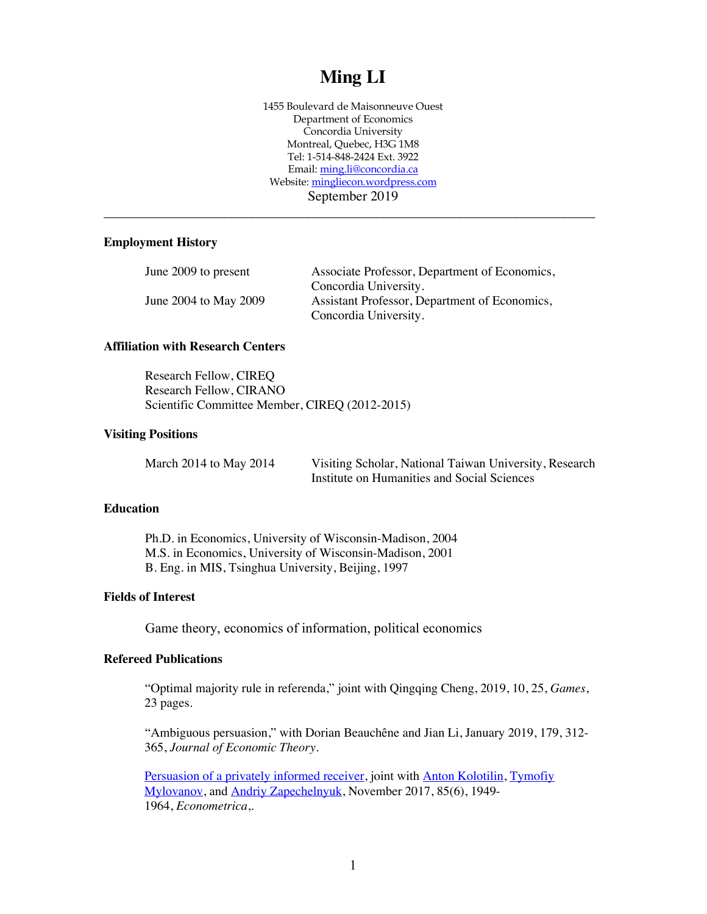# **Ming LI**

1455 Boulevard de Maisonneuve Ouest Department of Economics Concordia University Montreal, Quebec, H3G 1M8 Tel: 1-514-848-2424 Ext. 3922 Email: ming.li@concordia.ca Website: mingliecon.wordpress.com September 2019

\_\_\_\_\_\_\_\_\_\_\_\_\_\_\_\_\_\_\_\_\_\_\_\_\_\_\_\_\_\_\_\_\_\_\_\_\_\_\_\_\_\_\_\_\_\_\_\_\_\_\_\_\_\_\_\_\_\_\_\_\_\_\_\_\_\_\_\_\_\_\_

# **Employment History**

| June 2009 to present  | Associate Professor, Department of Economics, |
|-----------------------|-----------------------------------------------|
|                       | Concordia University.                         |
| June 2004 to May 2009 | Assistant Professor, Department of Economics, |
|                       | Concordia University.                         |

# **Affiliation with Research Centers**

Research Fellow, CIREQ Research Fellow, CIRANO Scientific Committee Member, CIREQ (2012-2015)

#### **Visiting Positions**

March 2014 to May 2014 Visiting Scholar, National Taiwan University, Research Institute on Humanities and Social Sciences

# **Education**

Ph.D. in Economics, University of Wisconsin-Madison, 2004 M.S. in Economics, University of Wisconsin-Madison, 2001 B. Eng. in MIS, Tsinghua University, Beijing, 1997

# **Fields of Interest**

Game theory, economics of information, political economics

#### **Refereed Publications**

"Optimal majority rule in referenda," joint with Qingqing Cheng, 2019, 10, 25, *Games*, 23 pages.

"Ambiguous persuasion," with Dorian Beauchêne and Jian Li, January 2019, 179, 312- 365, *Journal of Economic Theory*.

Persuasion of a privately informed receiver, joint with Anton Kolotilin, Tymofiy Mylovanov, and Andriy Zapechelnyuk, November 2017, 85(6), 1949-1964, *Econometrica*,.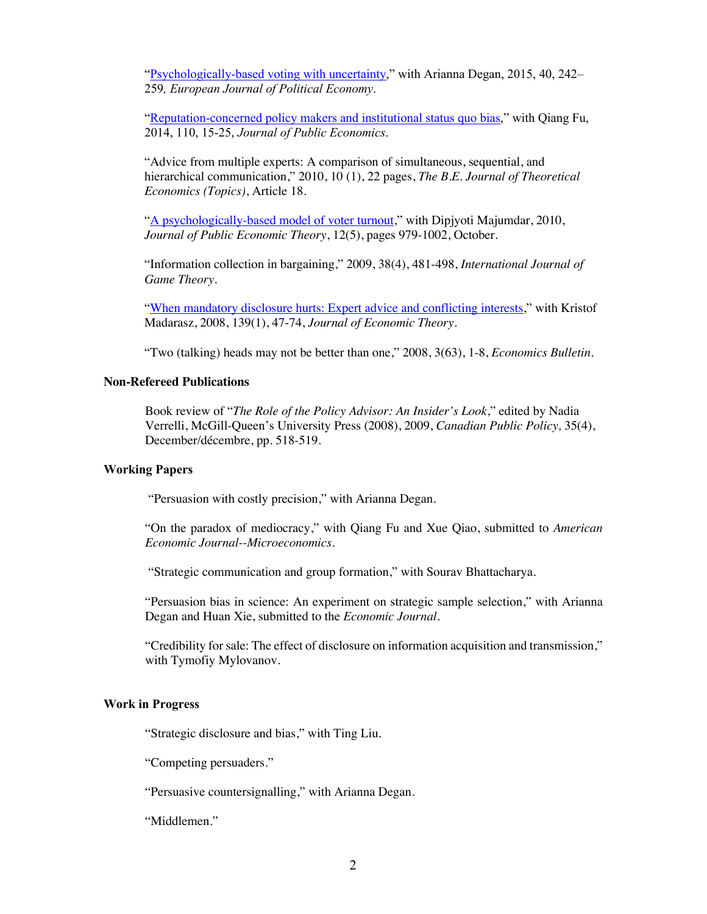"Psychologically-based voting with uncertainty," with Arianna Degan, 2015, 40, 242– 259*, European Journal of Political Economy*.

"Reputation-concerned policy makers and institutional status quo bias," with Qiang Fu, 2014, 110, 15-25, *Journal of Public Economics*.

"Advice from multiple experts: A comparison of simultaneous, sequential, and hierarchical communication," 2010, 10 (1), 22 pages, *The B.E. Journal of Theoretical Economics (Topics)*, Article 18.

"A psychologically-based model of voter turnout," with Dipjyoti Majumdar, 2010, *Journal of Public Economic Theory*, 12(5), pages 979-1002, October.

"Information collection in bargaining," 2009, 38(4), 481-498, *International Journal of Game Theory*.

"When mandatory disclosure hurts: Expert advice and conflicting interests," with Kristof Madarasz, 2008, 139(1), 47-74, *Journal of Economic Theory*.

"Two (talking) heads may not be better than one," 2008, 3(63), 1-8, *Economics Bulletin*.

# **Non-Refereed Publications**

Book review of "*The Role of the Policy Advisor: An Insider's Look*," edited by Nadia Verrelli, McGill-Queen's University Press (2008), 2009, *Canadian Public Policy,* 35(4), December/décembre, pp. 518-519.

# **Working Papers**

"Persuasion with costly precision," with Arianna Degan.

"On the paradox of mediocracy," with Qiang Fu and Xue Qiao, submitted to *American Economic Journal--Microeconomics*.

"Strategic communication and group formation," with Sourav Bhattacharya.

"Persuasion bias in science: An experiment on strategic sample selection," with Arianna Degan and Huan Xie, submitted to the *Economic Journal*.

"Credibility for sale: The effect of disclosure on information acquisition and transmission," with Tymofiy Mylovanov.

#### **Work in Progress**

"Strategic disclosure and bias," with Ting Liu.

"Competing persuaders."

"Persuasive countersignalling," with Arianna Degan.

"Middlemen."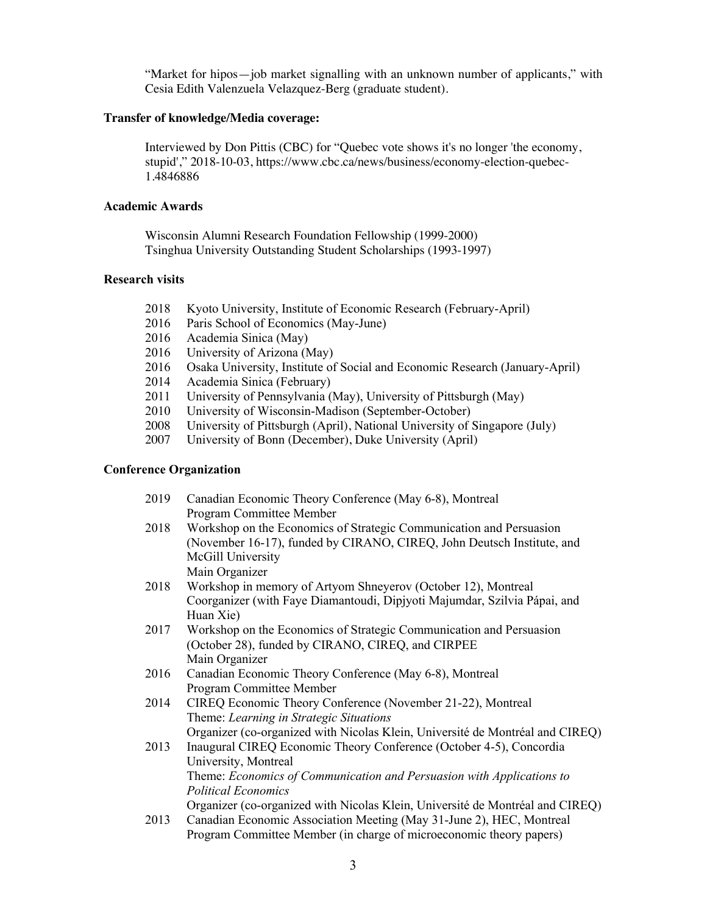"Market for hipos—job market signalling with an unknown number of applicants," with Cesia Edith Valenzuela Velazquez-Berg (graduate student).

#### **Transfer of knowledge/Media coverage:**

Interviewed by Don Pittis (CBC) for "Quebec vote shows it's no longer 'the economy, stupid'," 2018-10-03, https://www.cbc.ca/news/business/economy-election-quebec-1.4846886

# **Academic Awards**

Wisconsin Alumni Research Foundation Fellowship (1999-2000) Tsinghua University Outstanding Student Scholarships (1993-1997)

# **Research visits**

- 2018 Kyoto University, Institute of Economic Research (February-April)
- 2016 Paris School of Economics (May-June)
- 2016 Academia Sinica (May)
- 2016 University of Arizona (May)
- 2016 Osaka University, Institute of Social and Economic Research (January-April)
- 2014 Academia Sinica (February)
- 2011 University of Pennsylvania (May), University of Pittsburgh (May)
- 2010 University of Wisconsin-Madison (September-October)
- 2008 University of Pittsburgh (April), National University of Singapore (July)
- 2007 University of Bonn (December), Duke University (April)

# **Conference Organization**

| 2019 | Canadian Economic Theory Conference (May 6-8), Montreal                       |
|------|-------------------------------------------------------------------------------|
|      | Program Committee Member                                                      |
| 2018 | Workshop on the Economics of Strategic Communication and Persuasion           |
|      | (November 16-17), funded by CIRANO, CIREQ, John Deutsch Institute, and        |
|      | McGill University                                                             |
|      | Main Organizer                                                                |
| 2018 | Workshop in memory of Artyom Shneyerov (October 12), Montreal                 |
|      | Coorganizer (with Faye Diamantoudi, Dipjyoti Majumdar, Szilvia Pápai, and     |
|      | Huan Xie)                                                                     |
| 2017 | Workshop on the Economics of Strategic Communication and Persuasion           |
|      | (October 28), funded by CIRANO, CIREQ, and CIRPEE                             |
|      | Main Organizer                                                                |
| 2016 | Canadian Economic Theory Conference (May 6-8), Montreal                       |
|      | Program Committee Member                                                      |
| 2014 | CIREQ Economic Theory Conference (November 21-22), Montreal                   |
|      | Theme: Learning in Strategic Situations                                       |
|      | Organizer (co-organized with Nicolas Klein, Université de Montréal and CIREQ) |
| 2013 | Inaugural CIREQ Economic Theory Conference (October 4-5), Concordia           |
|      | University, Montreal                                                          |
|      | Theme: Economics of Communication and Persuasion with Applications to         |
|      | <b>Political Economics</b>                                                    |
|      | Organizer (co-organized with Nicolas Klein, Université de Montréal and CIREQ) |
| 2013 | Canadian Economic Association Meeting (May 31-June 2), HEC, Montreal          |
|      | Program Committee Member (in charge of microeconomic theory papers)           |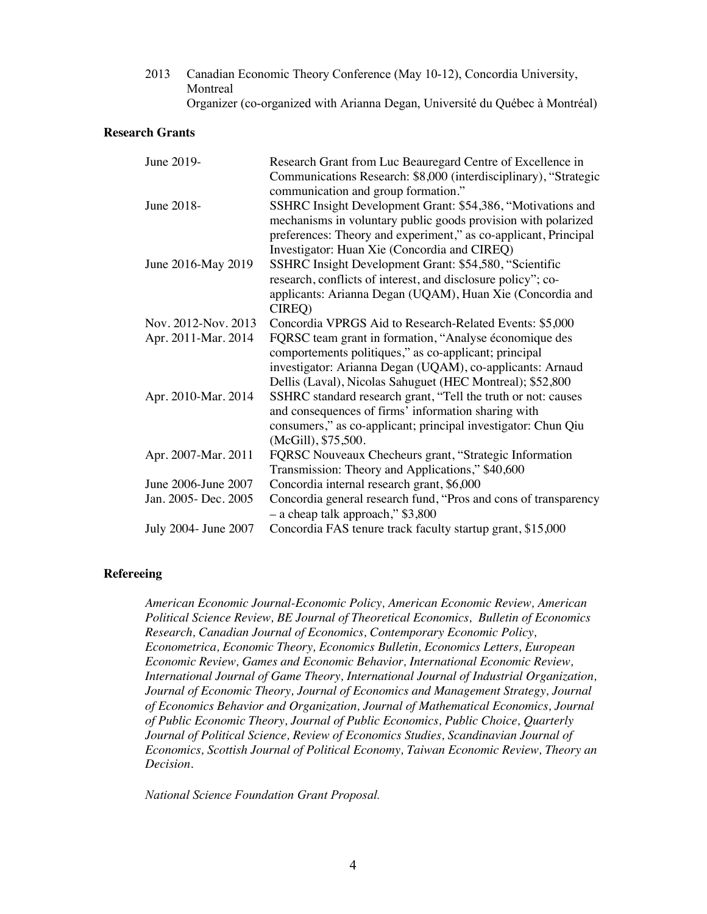2013 Canadian Economic Theory Conference (May 10-12), Concordia University, **Montreal** Organizer (co-organized with Arianna Degan, Université du Québec à Montréal)

# **Research Grants**

| June 2019-            | Research Grant from Luc Beauregard Centre of Excellence in       |
|-----------------------|------------------------------------------------------------------|
|                       | Communications Research: \$8,000 (interdisciplinary), "Strategic |
|                       | communication and group formation."                              |
| June 2018-            | SSHRC Insight Development Grant: \$54,386, "Motivations and      |
|                       | mechanisms in voluntary public goods provision with polarized    |
|                       | preferences: Theory and experiment," as co-applicant, Principal  |
|                       | Investigator: Huan Xie (Concordia and CIREQ)                     |
| June 2016-May 2019    | SSHRC Insight Development Grant: \$54,580, "Scientific           |
|                       | research, conflicts of interest, and disclosure policy"; co-     |
|                       | applicants: Arianna Degan (UQAM), Huan Xie (Concordia and        |
|                       | CIREQ)                                                           |
| Nov. 2012-Nov. 2013   | Concordia VPRGS Aid to Research-Related Events: \$5,000          |
| Apr. 2011-Mar. 2014   | FQRSC team grant in formation, "Analyse économique des           |
|                       | comportements politiques," as co-applicant; principal            |
|                       | investigator: Arianna Degan (UQAM), co-applicants: Arnaud        |
|                       | Dellis (Laval), Nicolas Sahuguet (HEC Montreal); \$52,800        |
| Apr. 2010-Mar. 2014   | SSHRC standard research grant, "Tell the truth or not: causes    |
|                       | and consequences of firms' information sharing with              |
|                       | consumers," as co-applicant; principal investigator: Chun Qiu    |
|                       | (McGill), \$75,500.                                              |
| Apr. 2007-Mar. 2011   | FQRSC Nouveaux Checheurs grant, "Strategic Information           |
|                       | Transmission: Theory and Applications," \$40,600                 |
| June 2006-June 2007   | Concordia internal research grant, \$6,000                       |
| Jan. 2005 - Dec. 2005 | Concordia general research fund, "Pros and cons of transparency  |
|                       | - a cheap talk approach," \$3,800                                |
| July 2004- June 2007  | Concordia FAS tenure track faculty startup grant, \$15,000       |

#### **Refereeing**

*American Economic Journal-Economic Policy, American Economic Review, American Political Science Review, BE Journal of Theoretical Economics, Bulletin of Economics Research, Canadian Journal of Economics, Contemporary Economic Policy, Econometrica, Economic Theory, Economics Bulletin, Economics Letters, European Economic Review, Games and Economic Behavior, International Economic Review, International Journal of Game Theory, International Journal of Industrial Organization, Journal of Economic Theory, Journal of Economics and Management Strategy, Journal of Economics Behavior and Organization, Journal of Mathematical Economics, Journal of Public Economic Theory, Journal of Public Economics, Public Choice, Quarterly Journal of Political Science, Review of Economics Studies, Scandinavian Journal of Economics, Scottish Journal of Political Economy, Taiwan Economic Review, Theory an Decision*.

*National Science Foundation Grant Proposal.*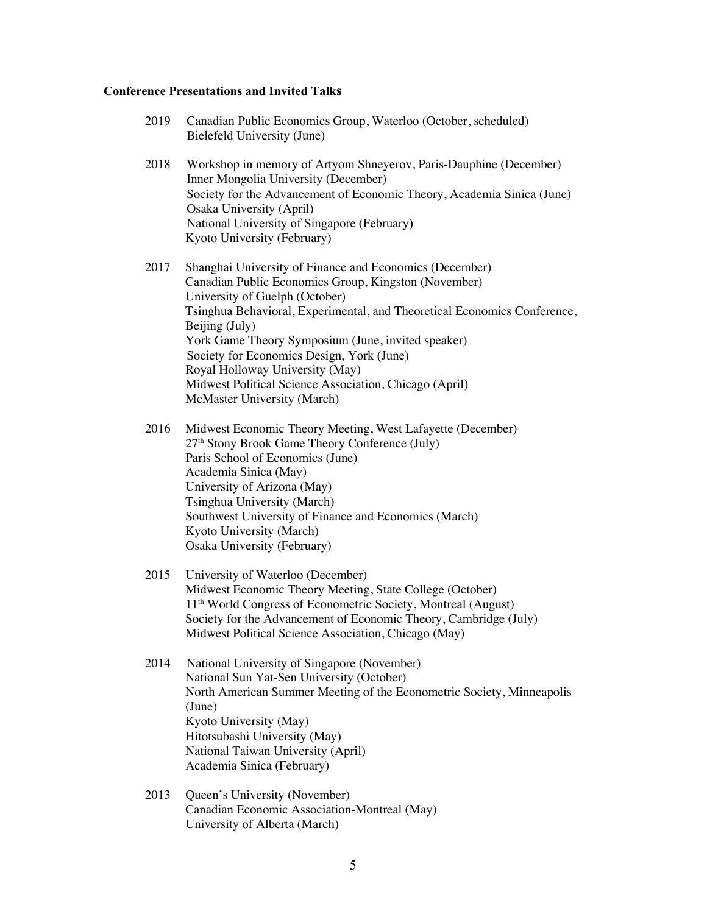# **Conference Presentations and Invited Talks**

| 2019 | Canadian Public Economics Group, Waterloo (October, scheduled)<br>Bielefeld University (June)                                                                                                                                                                                                                                                                                                                                                                                  |
|------|--------------------------------------------------------------------------------------------------------------------------------------------------------------------------------------------------------------------------------------------------------------------------------------------------------------------------------------------------------------------------------------------------------------------------------------------------------------------------------|
| 2018 | Workshop in memory of Artyom Shneyerov, Paris-Dauphine (December)<br>Inner Mongolia University (December)<br>Society for the Advancement of Economic Theory, Academia Sinica (June)<br>Osaka University (April)<br>National University of Singapore (February)<br>Kyoto University (February)                                                                                                                                                                                  |
| 2017 | Shanghai University of Finance and Economics (December)<br>Canadian Public Economics Group, Kingston (November)<br>University of Guelph (October)<br>Tsinghua Behavioral, Experimental, and Theoretical Economics Conference,<br>Beijing (July)<br>York Game Theory Symposium (June, invited speaker)<br>Society for Economics Design, York (June)<br>Royal Holloway University (May)<br>Midwest Political Science Association, Chicago (April)<br>McMaster University (March) |
| 2016 | Midwest Economic Theory Meeting, West Lafayette (December)<br>27 <sup>th</sup> Stony Brook Game Theory Conference (July)<br>Paris School of Economics (June)<br>Academia Sinica (May)<br>University of Arizona (May)<br>Tsinghua University (March)<br>Southwest University of Finance and Economics (March)<br>Kyoto University (March)<br>Osaka University (February)                                                                                                        |
| 2015 | University of Waterloo (December)<br>Midwest Economic Theory Meeting, State College (October)<br>11 <sup>th</sup> World Congress of Econometric Society, Montreal (August)<br>Society for the Advancement of Economic Theory, Cambridge (July)<br>Midwest Political Science Association, Chicago (May)                                                                                                                                                                         |
| 2014 | National University of Singapore (November)<br>National Sun Yat-Sen University (October)<br>North American Summer Meeting of the Econometric Society, Minneapolis<br>(June)<br>Kyoto University (May)<br>Hitotsubashi University (May)<br>National Taiwan University (April)<br>Academia Sinica (February)                                                                                                                                                                     |
| 2013 | Queen's University (November)<br>Canadian Economic Association-Montreal (May)<br>University of Alberta (March)                                                                                                                                                                                                                                                                                                                                                                 |

5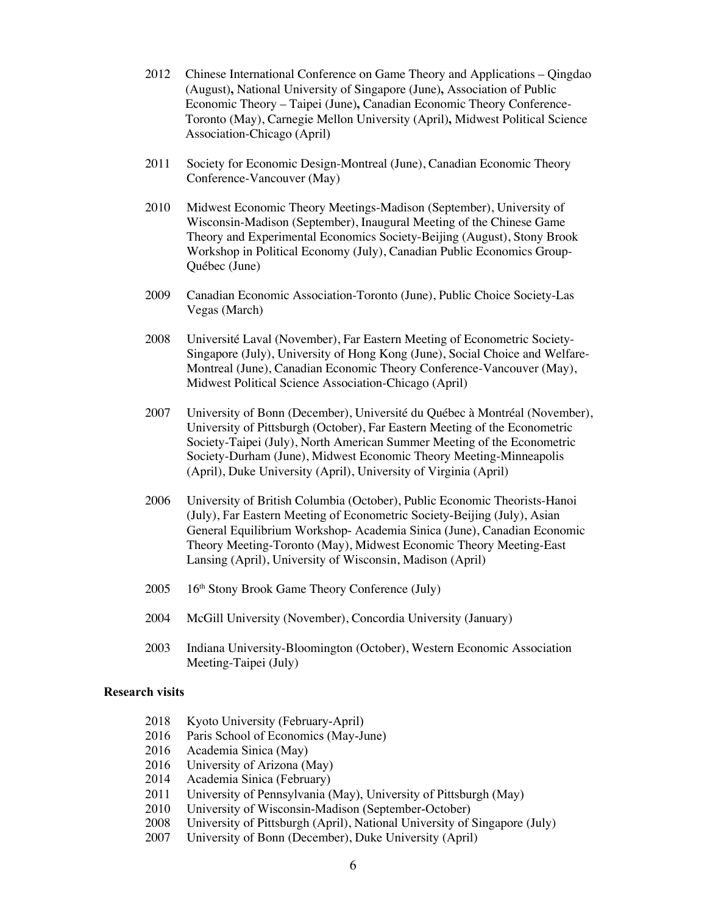- 2012 Chinese International Conference on Game Theory and Applications Qingdao (August)**,** National University of Singapore (June)**,** Association of Public Economic Theory – Taipei (June)**,** Canadian Economic Theory Conference-Toronto (May), Carnegie Mellon University (April)**,** Midwest Political Science Association-Chicago (April)
- 2011 Society for Economic Design-Montreal (June), Canadian Economic Theory Conference-Vancouver (May)
- 2010 Midwest Economic Theory Meetings-Madison (September), University of Wisconsin-Madison (September), Inaugural Meeting of the Chinese Game Theory and Experimental Economics Society-Beijing (August), Stony Brook Workshop in Political Economy (July), Canadian Public Economics Group-Québec (June)
- 2009 Canadian Economic Association-Toronto (June), Public Choice Society-Las Vegas (March)
- 2008 Université Laval (November), Far Eastern Meeting of Econometric Society-Singapore (July), University of Hong Kong (June), Social Choice and Welfare-Montreal (June), Canadian Economic Theory Conference-Vancouver (May), Midwest Political Science Association-Chicago (April)
- 2007 University of Bonn (December), Université du Québec à Montréal (November), University of Pittsburgh (October), Far Eastern Meeting of the Econometric Society-Taipei (July), North American Summer Meeting of the Econometric Society-Durham (June), Midwest Economic Theory Meeting-Minneapolis (April), Duke University (April), University of Virginia (April)
- 2006 University of British Columbia (October), Public Economic Theorists-Hanoi (July), Far Eastern Meeting of Econometric Society-Beijing (July), Asian General Equilibrium Workshop- Academia Sinica (June), Canadian Economic Theory Meeting-Toronto (May), Midwest Economic Theory Meeting-East Lansing (April), University of Wisconsin, Madison (April)
- $2005$  16<sup>th</sup> Stony Brook Game Theory Conference (July)
- 2004 McGill University (November), Concordia University (January)
- 2003 Indiana University-Bloomington (October), Western Economic Association Meeting-Taipei (July)

#### **Research visits**

- 2018 Kyoto University (February-April)
- 2016 Paris School of Economics (May-June)
- 2016 Academia Sinica (May)
- 2016 University of Arizona (May)
- 2014 Academia Sinica (February)
- 2011 University of Pennsylvania (May), University of Pittsburgh (May)
- 2010 University of Wisconsin-Madison (September-October)
- 2008 University of Pittsburgh (April), National University of Singapore (July)
- 2007 University of Bonn (December), Duke University (April)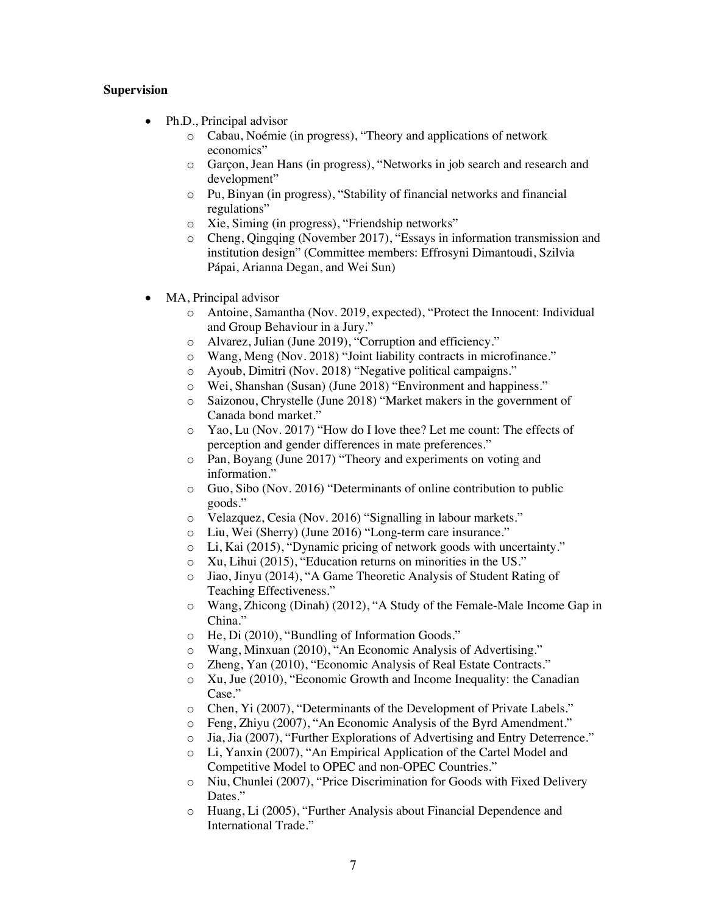# **Supervision**

- Ph.D., Principal advisor
	- o Cabau, Noémie (in progress), "Theory and applications of network economics"
	- o Garçon, Jean Hans (in progress), "Networks in job search and research and development"
	- o Pu, Binyan (in progress), "Stability of financial networks and financial regulations"
	- o Xie, Siming (in progress), "Friendship networks"
	- o Cheng, Qingqing (November 2017), "Essays in information transmission and institution design" (Committee members: Effrosyni Dimantoudi, Szilvia Pápai, Arianna Degan, and Wei Sun)
- MA, Principal advisor
	- o Antoine, Samantha (Nov. 2019, expected), "Protect the Innocent: Individual and Group Behaviour in a Jury."
	- o Alvarez, Julian (June 2019), "Corruption and efficiency."
	- o Wang, Meng (Nov. 2018) "Joint liability contracts in microfinance."
	- o Ayoub, Dimitri (Nov. 2018) "Negative political campaigns."
	- o Wei, Shanshan (Susan) (June 2018) "Environment and happiness."
	- o Saizonou, Chrystelle (June 2018) "Market makers in the government of Canada bond market."
	- o Yao, Lu (Nov. 2017) "How do I love thee? Let me count: The effects of perception and gender differences in mate preferences."
	- o Pan, Boyang (June 2017) "Theory and experiments on voting and information."
	- o Guo, Sibo (Nov. 2016) "Determinants of online contribution to public goods."
	- o Velazquez, Cesia (Nov. 2016) "Signalling in labour markets."
	- o Liu, Wei (Sherry) (June 2016) "Long-term care insurance."
	- o Li, Kai (2015), "Dynamic pricing of network goods with uncertainty."
	- o Xu, Lihui (2015), "Education returns on minorities in the US."
	- o Jiao, Jinyu (2014), "A Game Theoretic Analysis of Student Rating of Teaching Effectiveness."
	- o Wang, Zhicong (Dinah) (2012), "A Study of the Female-Male Income Gap in China."
	- o He, Di (2010), "Bundling of Information Goods."
	- o Wang, Minxuan (2010), "An Economic Analysis of Advertising."
	- o Zheng, Yan (2010), "Economic Analysis of Real Estate Contracts."
	- o Xu, Jue (2010), "Economic Growth and Income Inequality: the Canadian Case."
	- o Chen, Yi (2007), "Determinants of the Development of Private Labels."
	- o Feng, Zhiyu (2007), "An Economic Analysis of the Byrd Amendment."
	- o Jia, Jia (2007), "Further Explorations of Advertising and Entry Deterrence."
	- o Li, Yanxin (2007), "An Empirical Application of the Cartel Model and Competitive Model to OPEC and non-OPEC Countries."
	- o Niu, Chunlei (2007), "Price Discrimination for Goods with Fixed Delivery Dates."
	- o Huang, Li (2005), "Further Analysis about Financial Dependence and International Trade."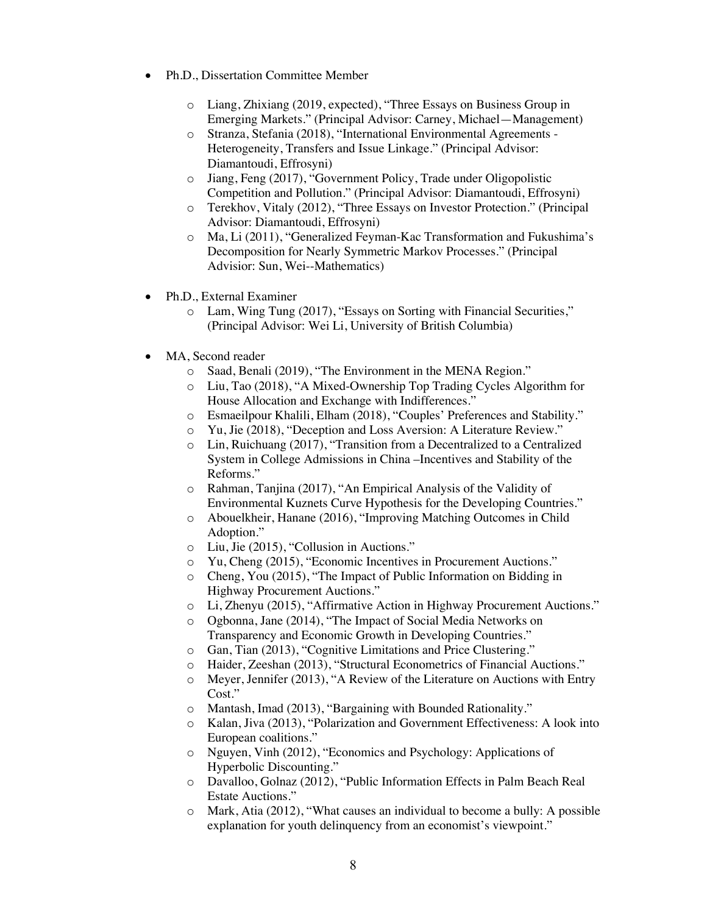- Ph.D., Dissertation Committee Member
	- o Liang, Zhixiang (2019, expected), "Three Essays on Business Group in Emerging Markets." (Principal Advisor: Carney, Michael—Management)
	- o Stranza, Stefania (2018), "International Environmental Agreements Heterogeneity, Transfers and Issue Linkage." (Principal Advisor: Diamantoudi, Effrosyni)
	- o Jiang, Feng (2017), "Government Policy, Trade under Oligopolistic Competition and Pollution." (Principal Advisor: Diamantoudi, Effrosyni)
	- o Terekhov, Vitaly (2012), "Three Essays on Investor Protection." (Principal Advisor: Diamantoudi, Effrosyni)
	- o Ma, Li (2011), "Generalized Feyman-Kac Transformation and Fukushima's Decomposition for Nearly Symmetric Markov Processes." (Principal Advisior: Sun, Wei--Mathematics)
- Ph.D., External Examiner
	- o Lam, Wing Tung (2017), "Essays on Sorting with Financial Securities," (Principal Advisor: Wei Li, University of British Columbia)
- MA, Second reader
	- o Saad, Benali (2019), "The Environment in the MENA Region."
	- o Liu, Tao (2018), "A Mixed-Ownership Top Trading Cycles Algorithm for House Allocation and Exchange with Indifferences."
	- o Esmaeilpour Khalili, Elham (2018), "Couples' Preferences and Stability."
	- o Yu, Jie (2018), "Deception and Loss Aversion: A Literature Review."
	- o Lin, Ruichuang (2017), "Transition from a Decentralized to a Centralized System in College Admissions in China –Incentives and Stability of the Reforms."
	- o Rahman, Tanjina (2017), "An Empirical Analysis of the Validity of Environmental Kuznets Curve Hypothesis for the Developing Countries."
	- o Abouelkheir, Hanane (2016), "Improving Matching Outcomes in Child Adoption."
	- o Liu, Jie (2015), "Collusion in Auctions."
	- o Yu, Cheng (2015), "Economic Incentives in Procurement Auctions."
	- o Cheng, You (2015), "The Impact of Public Information on Bidding in Highway Procurement Auctions."
	- o Li, Zhenyu (2015), "Affirmative Action in Highway Procurement Auctions."
	- o Ogbonna, Jane (2014), "The Impact of Social Media Networks on Transparency and Economic Growth in Developing Countries."
	- o Gan, Tian (2013), "Cognitive Limitations and Price Clustering."
	- o Haider, Zeeshan (2013), "Structural Econometrics of Financial Auctions."
	- o Meyer, Jennifer (2013), "A Review of the Literature on Auctions with Entry Cost."
	- o Mantash, Imad (2013), "Bargaining with Bounded Rationality."
	- o Kalan, Jiva (2013), "Polarization and Government Effectiveness: A look into European coalitions."
	- o Nguyen, Vinh (2012), "Economics and Psychology: Applications of Hyperbolic Discounting."
	- o Davalloo, Golnaz (2012), "Public Information Effects in Palm Beach Real Estate Auctions."
	- o Mark, Atia (2012), "What causes an individual to become a bully: A possible explanation for youth delinquency from an economist's viewpoint."